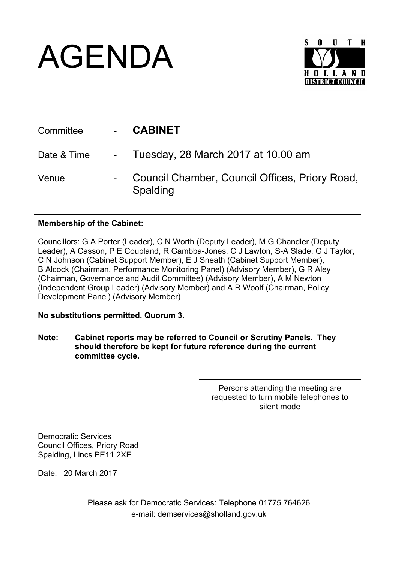## AGENDA



| Committee   | <b>CABINET</b>                                             |
|-------------|------------------------------------------------------------|
| Date & Time | - Tuesday, 28 March 2017 at 10.00 am                       |
| Venue       | Council Chamber, Council Offices, Priory Road,<br>Spalding |

## **Membership of the Cabinet:**

Councillors: G A Porter (Leader), C N Worth (Deputy Leader), M G Chandler (Deputy Leader), A Casson, P E Coupland, R Gambba-Jones, C J Lawton, S-A Slade, G J Taylor, C N Johnson (Cabinet Support Member), E J Sneath (Cabinet Support Member), B Alcock (Chairman, Performance Monitoring Panel) (Advisory Member), G R Aley (Chairman, Governance and Audit Committee) (Advisory Member), A M Newton (Independent Group Leader) (Advisory Member) and A R Woolf (Chairman, Policy Development Panel) (Advisory Member)

**No substitutions permitted. Quorum 3.**

**Note: Cabinet reports may be referred to Council or Scrutiny Panels. They should therefore be kept for future reference during the current committee cycle.** 

> Persons attending the meeting are requested to turn mobile telephones to silent mode

Democratic Services Council Offices, Priory Road Spalding, Lincs PE11 2XE

Date: 20 March 2017